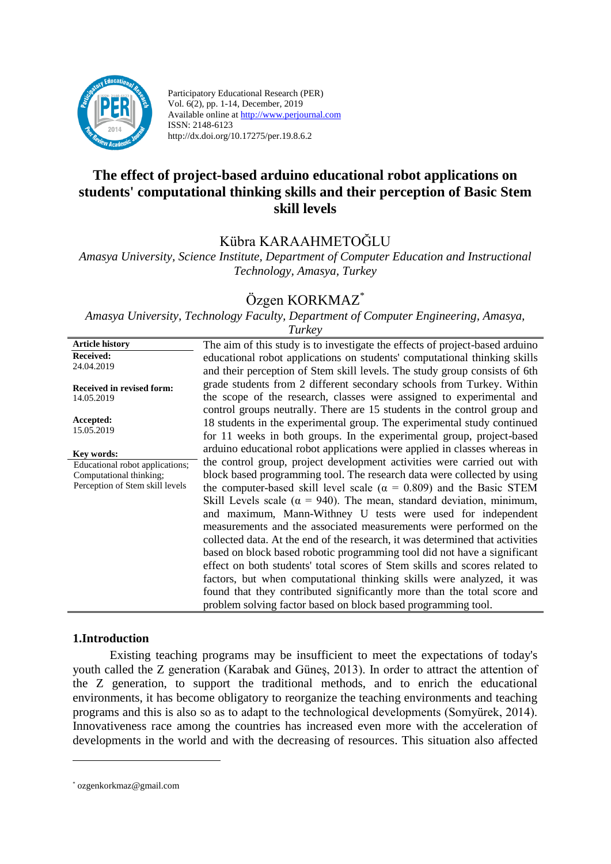

Participatory Educational Research (PER) Vol. 6(2), pp. 1-14, December, 2019 Available online at http://www.perjournal.com ISSN: 2148-6123 http://dx.doi.org/10.17275/per.19.8.6.2

# **The effect of project-based arduino educational robot applications on students' computational thinking skills and their perception of Basic Stem skill levels**

# Kübra KARAAHMETOĞLU

*Amasya University, Science Institute, Department of Computer Education and Instructional Technology, Amasya, Turkey*

# Özgen KORKMAZ\*

*Amasya University, Technology Faculty, Department of Computer Engineering, Amasya,* 

| <b>Article history</b>                                     | The aim of this study is to investigate the effects of project-based arduino                                                                                                                                                 |
|------------------------------------------------------------|------------------------------------------------------------------------------------------------------------------------------------------------------------------------------------------------------------------------------|
| Received:                                                  | educational robot applications on students' computational thinking skills                                                                                                                                                    |
| 24.04.2019                                                 | and their perception of Stem skill levels. The study group consists of 6th                                                                                                                                                   |
| Received in revised form:                                  | grade students from 2 different secondary schools from Turkey. Within                                                                                                                                                        |
| 14.05.2019                                                 | the scope of the research, classes were assigned to experimental and                                                                                                                                                         |
| Accepted:<br>15.05.2019                                    | control groups neutrally. There are 15 students in the control group and<br>18 students in the experimental group. The experimental study continued<br>for 11 weeks in both groups. In the experimental group, project-based |
| Key words:                                                 | arduino educational robot applications were applied in classes whereas in                                                                                                                                                    |
| Educational robot applications;                            | the control group, project development activities were carried out with                                                                                                                                                      |
| Computational thinking;<br>Perception of Stem skill levels | block based programming tool. The research data were collected by using                                                                                                                                                      |
|                                                            | the computer-based skill level scale ( $\alpha = 0.809$ ) and the Basic STEM                                                                                                                                                 |
|                                                            | Skill Levels scale ( $\alpha$ = 940). The mean, standard deviation, minimum,                                                                                                                                                 |
|                                                            | and maximum, Mann-Withney U tests were used for independent<br>measurements and the associated measurements were performed on the                                                                                            |
|                                                            | collected data. At the end of the research, it was determined that activities                                                                                                                                                |
|                                                            | based on block based robotic programming tool did not have a significant                                                                                                                                                     |
|                                                            | effect on both students' total scores of Stem skills and scores related to                                                                                                                                                   |
|                                                            | factors, but when computational thinking skills were analyzed, it was                                                                                                                                                        |
|                                                            | found that they contributed significantly more than the total score and                                                                                                                                                      |
|                                                            | problem solving factor based on block based programming tool.                                                                                                                                                                |
|                                                            |                                                                                                                                                                                                                              |

#### *Turkey*

#### **1.Introduction**

Existing teaching programs may be insufficient to meet the expectations of today's youth called the Z generation (Karabak and Güneş, 2013). In order to attract the attention of the Z generation, to support the traditional methods, and to enrich the educational environments, it has become obligatory to reorganize the teaching environments and teaching programs and this is also so as to adapt to the technological developments (Somyürek, 2014). Innovativeness race among the countries has increased even more with the acceleration of developments in the world and with the decreasing of resources. This situation also affected

<u>.</u>

<sup>\*</sup> ozgenkorkmaz@gmail.com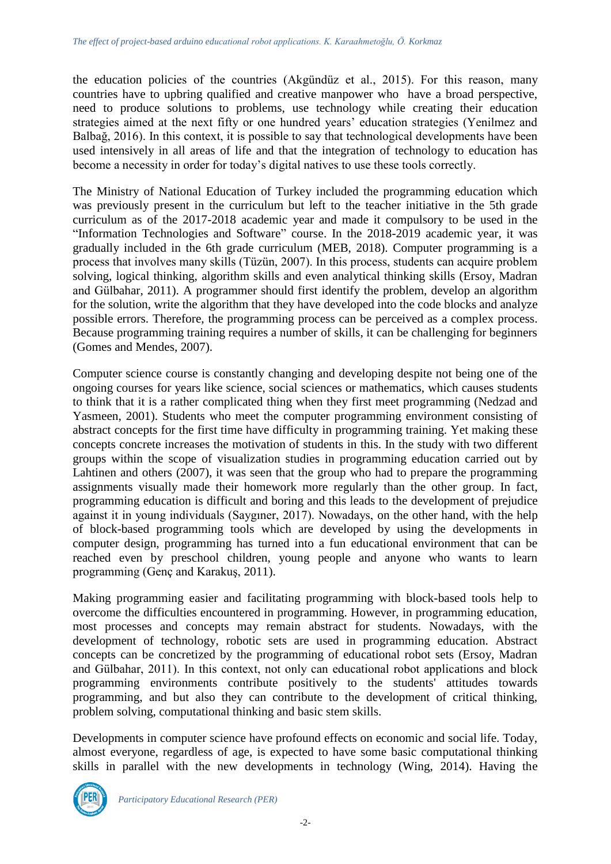the education policies of the countries (Akgündüz et al., 2015). For this reason, many countries have to upbring qualified and creative manpower who have a broad perspective, need to produce solutions to problems, use technology while creating their education strategies aimed at the next fifty or one hundred years' education strategies (Yenilmez and Balbağ, 2016). In this context, it is possible to say that technological developments have been used intensively in all areas of life and that the integration of technology to education has become a necessity in order for today's digital natives to use these tools correctly.

The Ministry of National Education of Turkey included the programming education which was previously present in the curriculum but left to the teacher initiative in the 5th grade curriculum as of the 2017-2018 academic year and made it compulsory to be used in the "Information Technologies and Software" course. In the 2018-2019 academic year, it was gradually included in the 6th grade curriculum (MEB, 2018). Computer programming is a process that involves many skills (Tüzün, 2007). In this process, students can acquire problem solving, logical thinking, algorithm skills and even analytical thinking skills (Ersoy, Madran and Gülbahar, 2011). A programmer should first identify the problem, develop an algorithm for the solution, write the algorithm that they have developed into the code blocks and analyze possible errors. Therefore, the programming process can be perceived as a complex process. Because programming training requires a number of skills, it can be challenging for beginners (Gomes and Mendes, 2007).

Computer science course is constantly changing and developing despite not being one of the ongoing courses for years like science, social sciences or mathematics, which causes students to think that it is a rather complicated thing when they first meet programming (Nedzad and Yasmeen, 2001). Students who meet the computer programming environment consisting of abstract concepts for the first time have difficulty in programming training. Yet making these concepts concrete increases the motivation of students in this. In the study with two different groups within the scope of visualization studies in programming education carried out by Lahtinen and others (2007), it was seen that the group who had to prepare the programming assignments visually made their homework more regularly than the other group. In fact, programming education is difficult and boring and this leads to the development of prejudice against it in young individuals (Saygıner, 2017). Nowadays, on the other hand, with the help of block-based programming tools which are developed by using the developments in computer design, programming has turned into a fun educational environment that can be reached even by preschool children, young people and anyone who wants to learn programming (Genç and Karakuş, 2011).

Making programming easier and facilitating programming with block-based tools help to overcome the difficulties encountered in programming. However, in programming education, most processes and concepts may remain abstract for students. Nowadays, with the development of technology, robotic sets are used in programming education. Abstract concepts can be concretized by the programming of educational robot sets (Ersoy, Madran and Gülbahar, 2011). In this context, not only can educational robot applications and block programming environments contribute positively to the students' attitudes towards programming, and but also they can contribute to the development of critical thinking, problem solving, computational thinking and basic stem skills.

Developments in computer science have profound effects on economic and social life. Today, almost everyone, regardless of age, is expected to have some basic computational thinking skills in parallel with the new developments in technology (Wing, 2014). Having the

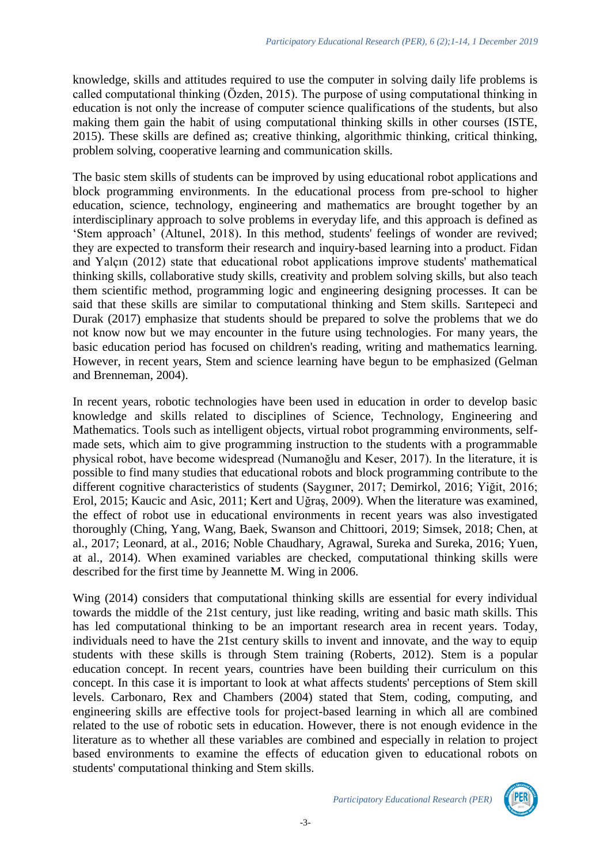knowledge, skills and attitudes required to use the computer in solving daily life problems is called computational thinking (Özden, 2015). The purpose of using computational thinking in education is not only the increase of computer science qualifications of the students, but also making them gain the habit of using computational thinking skills in other courses (ISTE, 2015). These skills are defined as; creative thinking, algorithmic thinking, critical thinking, problem solving, cooperative learning and communication skills.

The basic stem skills of students can be improved by using educational robot applications and block programming environments. In the educational process from pre-school to higher education, science, technology, engineering and mathematics are brought together by an interdisciplinary approach to solve problems in everyday life, and this approach is defined as 'Stem approach' (Altunel, 2018). In this method, students' feelings of wonder are revived; they are expected to transform their research and inquiry-based learning into a product. Fidan and Yalçın (2012) state that educational robot applications improve students' mathematical thinking skills, collaborative study skills, creativity and problem solving skills, but also teach them scientific method, programming logic and engineering designing processes. It can be said that these skills are similar to computational thinking and Stem skills. Sarıtepeci and Durak (2017) emphasize that students should be prepared to solve the problems that we do not know now but we may encounter in the future using technologies. For many years, the basic education period has focused on children's reading, writing and mathematics learning. However, in recent years, Stem and science learning have begun to be emphasized (Gelman and Brenneman, 2004).

In recent years, robotic technologies have been used in education in order to develop basic knowledge and skills related to disciplines of Science, Technology, Engineering and Mathematics. Tools such as intelligent objects, virtual robot programming environments, selfmade sets, which aim to give programming instruction to the students with a programmable physical robot, have become widespread (Numanoğlu and Keser, 2017). In the literature, it is possible to find many studies that educational robots and block programming contribute to the different cognitive characteristics of students (Saygıner, 2017; Demirkol, 2016; Yiğit, 2016; Erol, 2015; Kaucic and Asic, 2011; Kert and Uğraş, 2009). When the literature was examined, the effect of robot use in educational environments in recent years was also investigated thoroughly (Ching, Yang, Wang, Baek, Swanson and Chittoori, 2019; Simsek, 2018; Chen, at al., 2017; Leonard, at al., 2016; Noble Chaudhary, Agrawal, Sureka and Sureka, 2016; Yuen, at al., 2014). When examined variables are checked, computational thinking skills were described for the first time by Jeannette M. Wing in 2006.

Wing (2014) considers that computational thinking skills are essential for every individual towards the middle of the 21st century, just like reading, writing and basic math skills. This has led computational thinking to be an important research area in recent years. Today, individuals need to have the 21st century skills to invent and innovate, and the way to equip students with these skills is through Stem training (Roberts, 2012). Stem is a popular education concept. In recent years, countries have been building their curriculum on this concept. In this case it is important to look at what affects students' perceptions of Stem skill levels. Carbonaro, Rex and Chambers (2004) stated that Stem, coding, computing, and engineering skills are effective tools for project-based learning in which all are combined related to the use of robotic sets in education. However, there is not enough evidence in the literature as to whether all these variables are combined and especially in relation to project based environments to examine the effects of education given to educational robots on students' computational thinking and Stem skills.

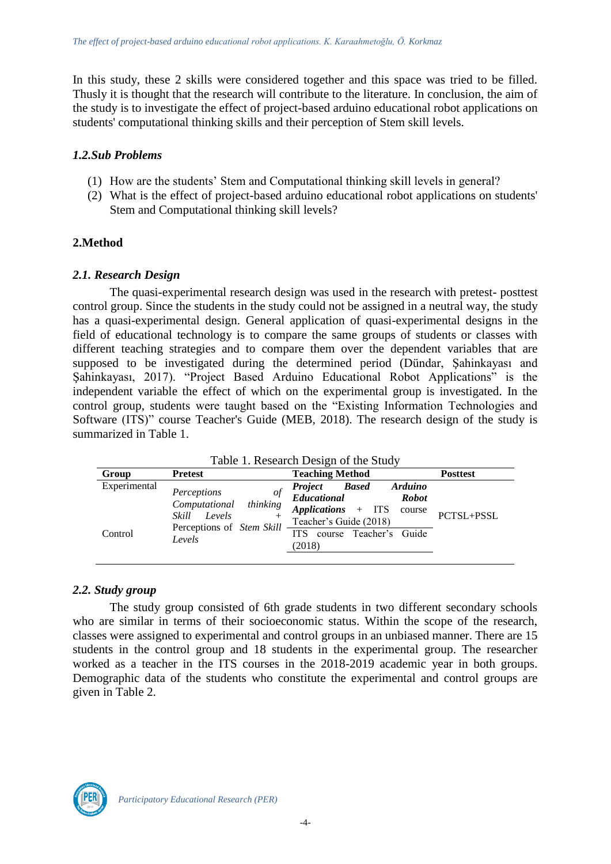In this study, these 2 skills were considered together and this space was tried to be filled. Thusly it is thought that the research will contribute to the literature. In conclusion, the aim of the study is to investigate the effect of project-based arduino educational robot applications on students' computational thinking skills and their perception of Stem skill levels.

## *1.2.Sub Problems*

- (1) How are the students' Stem and Computational thinking skill levels in general?
- (2) What is the effect of project-based arduino educational robot applications on students' Stem and Computational thinking skill levels?

# **2.Method**

## *2.1. Research Design*

The quasi-experimental research design was used in the research with pretest- posttest control group. Since the students in the study could not be assigned in a neutral way, the study has a quasi-experimental design. General application of quasi-experimental designs in the field of educational technology is to compare the same groups of students or classes with different teaching strategies and to compare them over the dependent variables that are supposed to be investigated during the determined period (Dündar, Şahinkayası and Şahinkayası, 2017). "Project Based Arduino Educational Robot Applications" is the independent variable the effect of which on the experimental group is investigated. In the control group, students were taught based on the "Existing Information Technologies and Software (ITS)" course Teacher's Guide (MEB, 2018). The research design of the study is summarized in Table 1.

| Table 1. Research Design of the Study |                                                                                               |                     |                                                                                               |                                        |                                          |                 |
|---------------------------------------|-----------------------------------------------------------------------------------------------|---------------------|-----------------------------------------------------------------------------------------------|----------------------------------------|------------------------------------------|-----------------|
| Group                                 | <b>Pretest</b>                                                                                |                     | <b>Teaching Method</b>                                                                        |                                        |                                          | <b>Posttest</b> |
| Experimental<br>Control               | Perceptions<br>Computational<br>Levels<br>Skill<br>Perceptions of <i>Stem Skill</i><br>Levels | $\iota$<br>thinking | <b>Project</b><br>Educational<br>$Applications + ITS$<br>Teacher's Guide (2018)<br><b>TTS</b> | <b>Based</b><br>course Teacher's Guide | <b>Arduino</b><br><b>Robot</b><br>course | PCTSL+PSSL      |
|                                       |                                                                                               |                     | (2018)                                                                                        |                                        |                                          |                 |

### *2.2. Study group*

The study group consisted of 6th grade students in two different secondary schools who are similar in terms of their socioeconomic status. Within the scope of the research, classes were assigned to experimental and control groups in an unbiased manner. There are 15 students in the control group and 18 students in the experimental group. The researcher worked as a teacher in the ITS courses in the 2018-2019 academic year in both groups. Demographic data of the students who constitute the experimental and control groups are given in Table 2.

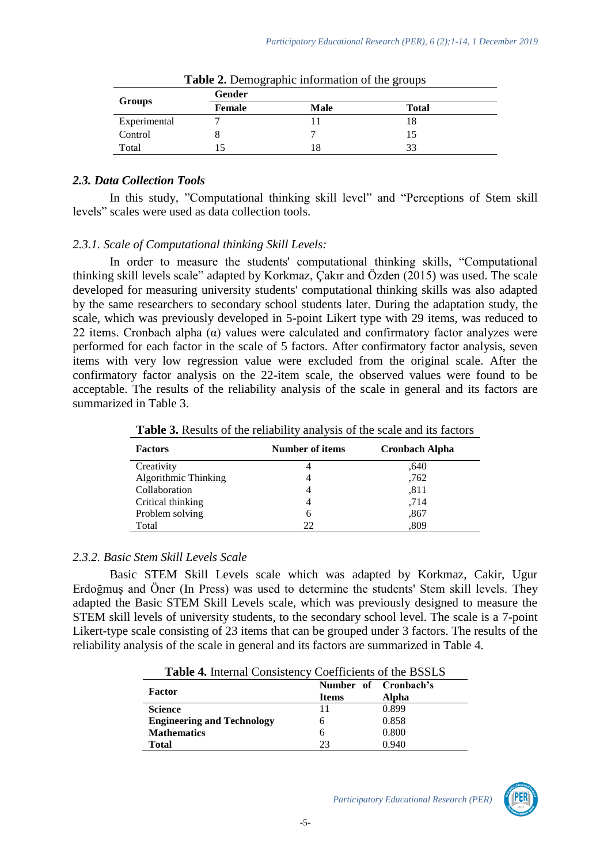|              | Gender | $\frac{1}{2}$ and $\frac{1}{2}$ compared in commutation of the groups |              |  |
|--------------|--------|-----------------------------------------------------------------------|--------------|--|
| Groups       | Female | Male                                                                  | <b>Total</b> |  |
| Experimental |        |                                                                       | 18           |  |
| Control      |        |                                                                       |              |  |
| Total        |        | 'δ                                                                    | 33           |  |

#### *2.3. Data Collection Tools*

In this study, "Computational thinking skill level" and "Perceptions of Stem skill levels" scales were used as data collection tools.

#### *2.3.1. Scale of Computational thinking Skill Levels:*

In order to measure the students' computational thinking skills, "Computational thinking skill levels scale" adapted by Korkmaz, Çakır and Özden (2015) was used. The scale developed for measuring university students' computational thinking skills was also adapted by the same researchers to secondary school students later. During the adaptation study, the scale, which was previously developed in 5-point Likert type with 29 items, was reduced to 22 items. Cronbach alpha  $(\alpha)$  values were calculated and confirmatory factor analyzes were performed for each factor in the scale of 5 factors. After confirmatory factor analysis, seven items with very low regression value were excluded from the original scale. After the confirmatory factor analysis on the 22-item scale, the observed values were found to be acceptable. The results of the reliability analysis of the scale in general and its factors are summarized in Table 3.

| <b>Factors</b>       | <b>Number of items</b> | <b>Cronbach Alpha</b> |
|----------------------|------------------------|-----------------------|
| Creativity           |                        | .640                  |
| Algorithmic Thinking | 4                      | ,762                  |
| Collaboration        | 4                      | .811                  |
| Critical thinking    | 4                      | .714                  |
| Problem solving      | 6                      | ,867                  |
| Total                | 22                     | .809                  |

**Table 3.** Results of the reliability analysis of the scale and its factors

#### *2.3.2. Basic Stem Skill Levels Scale*

Basic STEM Skill Levels scale which was adapted by Korkmaz, Cakir, Ugur Erdoğmuş and Öner (In Press) was used to determine the students' Stem skill levels. They adapted the Basic STEM Skill Levels scale, which was previously designed to measure the STEM skill levels of university students, to the secondary school level. The scale is a 7-point Likert-type scale consisting of 23 items that can be grouped under 3 factors. The results of the reliability analysis of the scale in general and its factors are summarized in Table 4.

**Table 4.** Internal Consistency Coefficients of the BSSLS

|                                   | Number of Cronbach's |       |
|-----------------------------------|----------------------|-------|
| Factor                            | <b>Items</b>         | Alpha |
| <b>Science</b>                    | 11                   | 0.899 |
| <b>Engineering and Technology</b> |                      | 0.858 |
| <b>Mathematics</b>                |                      | 0.800 |
| <b>Total</b>                      | 23                   | 0.940 |

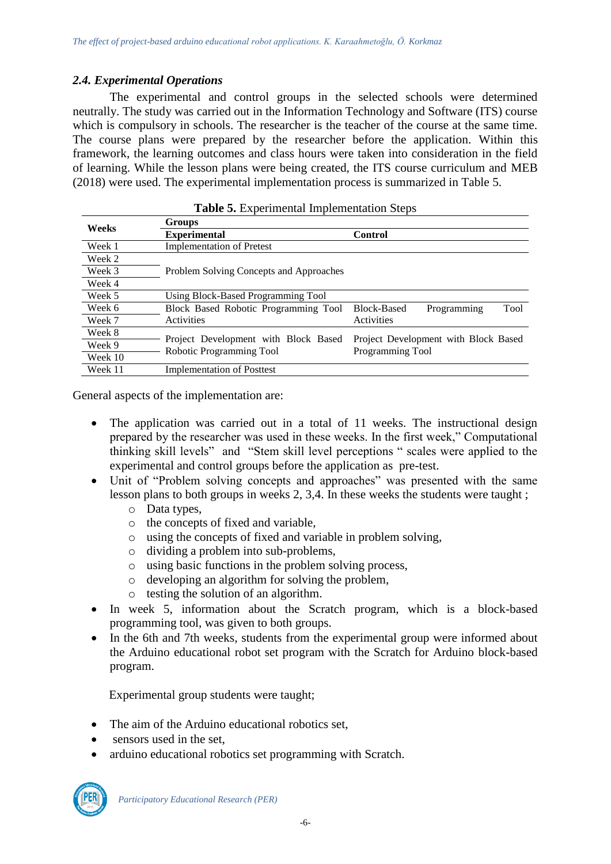## *2.4. Experimental Operations*

The experimental and control groups in the selected schools were determined neutrally. The study was carried out in the Information Technology and Software (ITS) course which is compulsory in schools. The researcher is the teacher of the course at the same time. The course plans were prepared by the researcher before the application. Within this framework, the learning outcomes and class hours were taken into consideration in the field of learning. While the lesson plans were being created, the ITS course curriculum and MEB (2018) were used. The experimental implementation process is summarized in Table 5.

|         | <b>Tuble of E</b> apormicinal imprementation bleps               |                                      |
|---------|------------------------------------------------------------------|--------------------------------------|
| Weeks   | <b>Groups</b>                                                    |                                      |
|         | <b>Experimental</b>                                              | <b>Control</b>                       |
| Week 1  | <b>Implementation of Pretest</b>                                 |                                      |
| Week 2  |                                                                  |                                      |
| Week 3  | Problem Solving Concepts and Approaches                          |                                      |
| Week 4  |                                                                  |                                      |
| Week 5  | Using Block-Based Programming Tool                               |                                      |
| Week 6  | Block Based Robotic Programming Tool                             | Tool<br>Block-Based<br>Programming   |
| Week 7  | Activities                                                       | Activities                           |
| Week 8  |                                                                  |                                      |
| Week 9  | Project Development with Block Based<br>Robotic Programming Tool | Project Development with Block Based |
| Week 10 |                                                                  | Programming Tool                     |
| Week 11 | <b>Implementation of Posttest</b>                                |                                      |

General aspects of the implementation are:

- The application was carried out in a total of 11 weeks. The instructional design prepared by the researcher was used in these weeks. In the first week," Computational thinking skill levels" and "Stem skill level perceptions " scales were applied to the experimental and control groups before the application as pre-test.
- Unit of "Problem solving concepts and approaches" was presented with the same lesson plans to both groups in weeks 2, 3,4. In these weeks the students were taught ;
	- o Data types,
	- o the concepts of fixed and variable,
	- o using the concepts of fixed and variable in problem solving,
	- o dividing a problem into sub-problems,
	- o using basic functions in the problem solving process,
	- o developing an algorithm for solving the problem,
	- o testing the solution of an algorithm.
- In week 5, information about the Scratch program, which is a block-based programming tool, was given to both groups.
- In the 6th and 7th weeks, students from the experimental group were informed about the Arduino educational robot set program with the Scratch for Arduino block-based program.

Experimental group students were taught;

- The aim of the Arduino educational robotics set,
- sensors used in the set.
- arduino educational robotics set programming with Scratch.

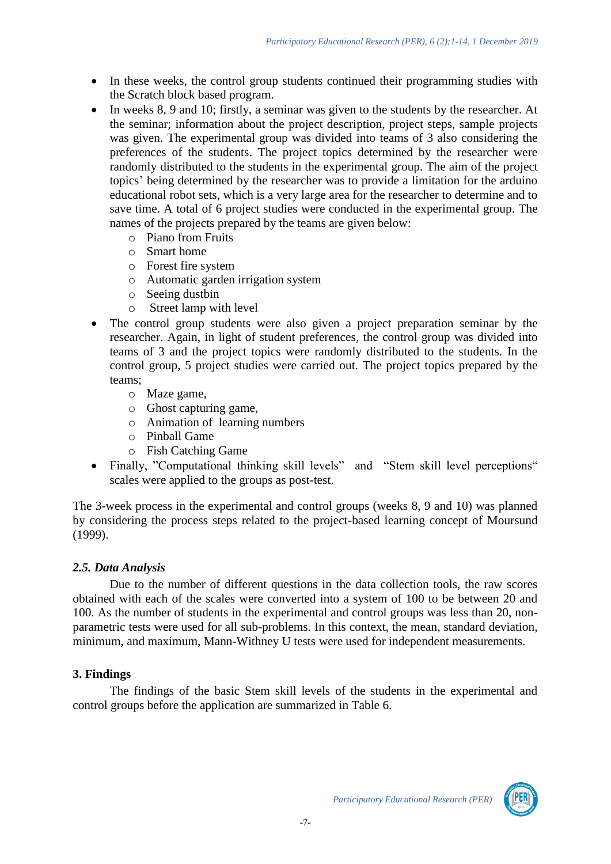- In these weeks, the control group students continued their programming studies with the Scratch block based program.
- In weeks 8, 9 and 10; firstly, a seminar was given to the students by the researcher. At the seminar; information about the project description, project steps, sample projects was given. The experimental group was divided into teams of 3 also considering the preferences of the students. The project topics determined by the researcher were randomly distributed to the students in the experimental group. The aim of the project topics' being determined by the researcher was to provide a limitation for the arduino educational robot sets, which is a very large area for the researcher to determine and to save time. A total of 6 project studies were conducted in the experimental group. The names of the projects prepared by the teams are given below:
	- o Piano from Fruits
	- o Smart home
	- o Forest fire system
	- o Automatic garden irrigation system
	- o Seeing dustbin
	- o Street lamp with level
- The control group students were also given a project preparation seminar by the researcher. Again, in light of student preferences, the control group was divided into teams of 3 and the project topics were randomly distributed to the students. In the control group, 5 project studies were carried out. The project topics prepared by the teams;
	- o Maze game,
	- o Ghost capturing game,
	- o Animation of learning numbers
	- o Pinball Game
	- o Fish Catching Game
- Finally, "Computational thinking skill levels" and "Stem skill level perceptions" scales were applied to the groups as post-test.

The 3-week process in the experimental and control groups (weeks 8, 9 and 10) was planned by considering the process steps related to the project-based learning concept of Moursund (1999).

### *2.5. Data Analysis*

Due to the number of different questions in the data collection tools, the raw scores obtained with each of the scales were converted into a system of 100 to be between 20 and 100. As the number of students in the experimental and control groups was less than 20, nonparametric tests were used for all sub-problems. In this context, the mean, standard deviation, minimum, and maximum, Mann-Withney U tests were used for independent measurements.

### **3. Findings**

The findings of the basic Stem skill levels of the students in the experimental and control groups before the application are summarized in Table 6.

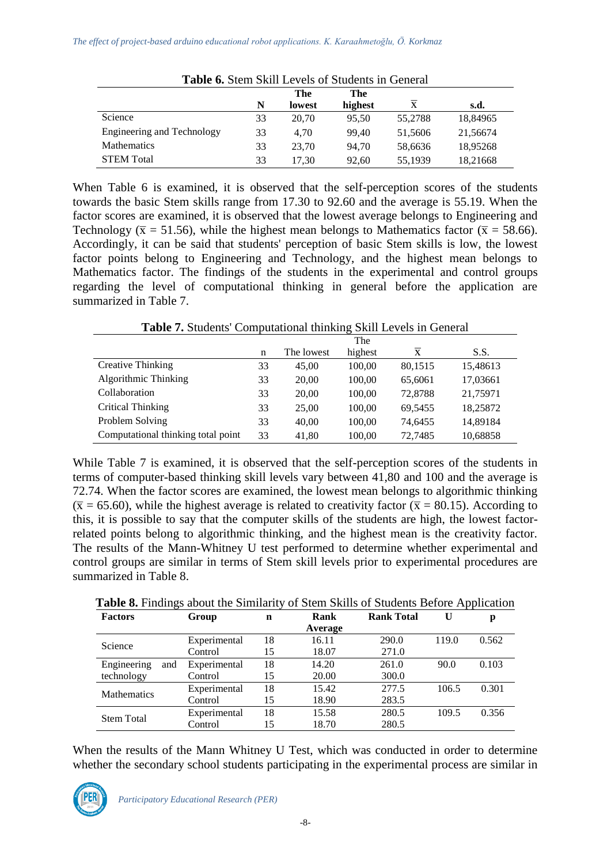| <b>Table 6.</b> Stem Skill Levels of Students in General |    |        |         |         |          |  |  |  |
|----------------------------------------------------------|----|--------|---------|---------|----------|--|--|--|
|                                                          |    | The    | The     |         |          |  |  |  |
|                                                          | N  | lowest | highest | X       | s.d.     |  |  |  |
| Science                                                  | 33 | 20.70  | 95.50   | 55,2788 | 18,84965 |  |  |  |
| Engineering and Technology                               | 33 | 4.70   | 99.40   | 51,5606 | 21,56674 |  |  |  |
| <b>Mathematics</b>                                       | 33 | 23.70  | 94.70   | 58,6636 | 18,95268 |  |  |  |
| <b>STEM Total</b>                                        | 33 | 17.30  | 92,60   | 55,1939 | 18,21668 |  |  |  |

When Table 6 is examined, it is observed that the self-perception scores of the students towards the basic Stem skills range from 17.30 to 92.60 and the average is 55.19. When the factor scores are examined, it is observed that the lowest average belongs to Engineering and Technology ( $\bar{x}$  = 51.56), while the highest mean belongs to Mathematics factor ( $\bar{x}$  = 58.66). Accordingly, it can be said that students' perception of basic Stem skills is low, the lowest factor points belong to Engineering and Technology, and the highest mean belongs to Mathematics factor. The findings of the students in the experimental and control groups regarding the level of computational thinking in general before the application are summarized in Table 7.

**Table 7.** Students' Computational thinking Skill Levels in General

|                                    |    |            | The     |         |          |
|------------------------------------|----|------------|---------|---------|----------|
|                                    | n  | The lowest | highest | X       | S.S.     |
| Creative Thinking                  | 33 | 45.00      | 100,00  | 80,1515 | 15,48613 |
| Algorithmic Thinking               | 33 | 20,00      | 100,00  | 65,6061 | 17,03661 |
| Collaboration                      | 33 | 20.00      | 100,00  | 72,8788 | 21,75971 |
| Critical Thinking                  | 33 | 25,00      | 100,00  | 69,5455 | 18,25872 |
| Problem Solving                    | 33 | 40,00      | 100,00  | 74,6455 | 14,89184 |
| Computational thinking total point | 33 | 41,80      | 100,00  | 72,7485 | 10,68858 |

While Table 7 is examined, it is observed that the self-perception scores of the students in terms of computer-based thinking skill levels vary between 41,80 and 100 and the average is 72.74. When the factor scores are examined, the lowest mean belongs to algorithmic thinking  $(\bar{x} = 65.60)$ , while the highest average is related to creativity factor ( $\bar{x} = 80.15$ ). According to this, it is possible to say that the computer skills of the students are high, the lowest factorrelated points belong to algorithmic thinking, and the highest mean is the creativity factor. The results of the Mann-Whitney U test performed to determine whether experimental and control groups are similar in terms of Stem skill levels prior to experimental procedures are summarized in Table 8.

| $\sim$ where $\sim$ is intermed we see the binimum of |              |             |         |                   |       |       |
|-------------------------------------------------------|--------------|-------------|---------|-------------------|-------|-------|
| <b>Factors</b>                                        | Group        | $\mathbf n$ | Rank    | <b>Rank Total</b> |       | р     |
|                                                       |              |             | Average |                   |       |       |
| Science                                               | Experimental | 18          | 16.11   | 290.0             | 119.0 | 0.562 |
|                                                       | Control      | 15          | 18.07   | 271.0             |       |       |
| Engineering<br>and                                    | Experimental | 18          | 14.20   | 261.0             | 90.0  | 0.103 |
| technology                                            | Control      | 15          | 20.00   | 300.0             |       |       |
|                                                       | Experimental | 18          | 15.42   | 277.5             | 106.5 | 0.301 |
| <b>Mathematics</b>                                    | Control      | 15          | 18.90   | 283.5             |       |       |
| <b>Stem Total</b>                                     | Experimental | 18          | 15.58   | 280.5             | 109.5 | 0.356 |
|                                                       | Control      | 15          | 18.70   | 280.5             |       |       |

**Table 8.** Findings about the Similarity of Stem Skills of Students Before Application

When the results of the Mann Whitney U Test, which was conducted in order to determine whether the secondary school students participating in the experimental process are similar in

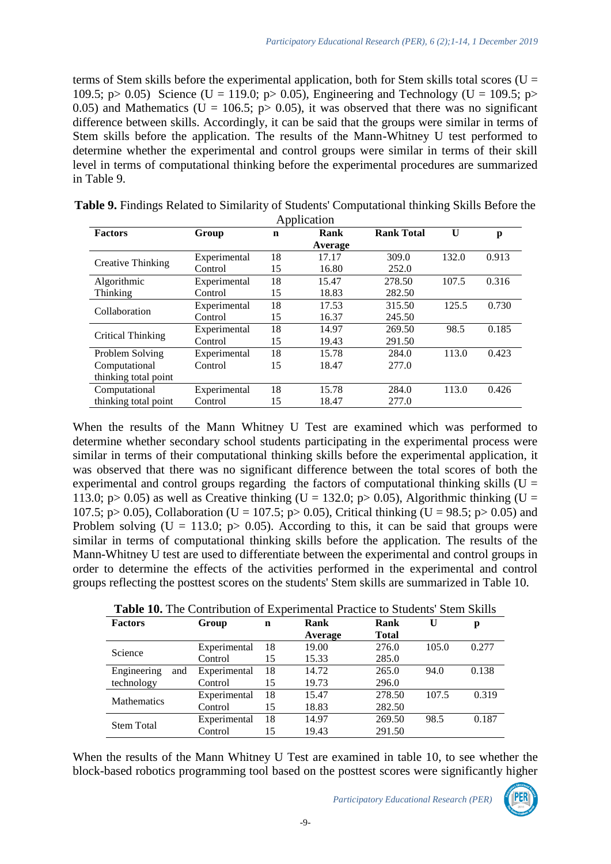terms of Stem skills before the experimental application, both for Stem skills total scores ( $U =$ 109.5; p > 0.05) Science (U = 119.0; p > 0.05), Engineering and Technology (U = 109.5; p > 0.05) and Mathematics (U = 106.5; p > 0.05), it was observed that there was no significant difference between skills. Accordingly, it can be said that the groups were similar in terms of Stem skills before the application. The results of the Mann-Whitney U test performed to determine whether the experimental and control groups were similar in terms of their skill level in terms of computational thinking before the experimental procedures are summarized in Table 9.

| Application          |              |             |         |                   |              |       |  |
|----------------------|--------------|-------------|---------|-------------------|--------------|-------|--|
| <b>Factors</b>       | Group        | $\mathbf n$ | Rank    | <b>Rank Total</b> | $\mathbf{U}$ | p     |  |
|                      |              |             | Average |                   |              |       |  |
|                      | Experimental | 18          | 17.17   | 309.0             | 132.0        | 0.913 |  |
| Creative Thinking    | Control      | 15          | 16.80   | 252.0             |              |       |  |
| Algorithmic          | Experimental | 18          | 15.47   | 278.50            | 107.5        | 0.316 |  |
| Thinking             | Control      | 15          | 18.83   | 282.50            |              |       |  |
| Collaboration        | Experimental | 18          | 17.53   | 315.50            | 125.5        | 0.730 |  |
|                      | Control      | 15          | 16.37   | 245.50            |              |       |  |
|                      | Experimental | 18          | 14.97   | 269.50            | 98.5         | 0.185 |  |
| Critical Thinking    | Control      | 15          | 19.43   | 291.50            |              |       |  |
| Problem Solving      | Experimental | 18          | 15.78   | 284.0             | 113.0        | 0.423 |  |
| Computational        | Control      | 15          | 18.47   | 277.0             |              |       |  |
| thinking total point |              |             |         |                   |              |       |  |
| Computational        | Experimental | 18          | 15.78   | 284.0             | 113.0        | 0.426 |  |
| thinking total point | Control      | 15          | 18.47   | 277.0             |              |       |  |

**Table 9.** Findings Related to Similarity of Students' Computational thinking Skills Before the

When the results of the Mann Whitney U Test are examined which was performed to determine whether secondary school students participating in the experimental process were similar in terms of their computational thinking skills before the experimental application, it was observed that there was no significant difference between the total scores of both the experimental and control groups regarding the factors of computational thinking skills ( $U =$ 113.0; p > 0.05) as well as Creative thinking (U = 132.0; p > 0.05), Algorithmic thinking (U = 107.5; p> 0.05), Collaboration (U = 107.5; p> 0.05), Critical thinking (U = 98.5; p> 0.05) and Problem solving (U = 113.0;  $p > 0.05$ ). According to this, it can be said that groups were similar in terms of computational thinking skills before the application. The results of the Mann-Whitney U test are used to differentiate between the experimental and control groups in order to determine the effects of the activities performed in the experimental and control groups reflecting the posttest scores on the students' Stem skills are summarized in Table 10.

| <b>Table TV.</b> The Contribution of Experimental Practice to Students Stein Skills |              |             |             |        |       |       |  |  |  |  |
|-------------------------------------------------------------------------------------|--------------|-------------|-------------|--------|-------|-------|--|--|--|--|
| <b>Factors</b>                                                                      | Group        | $\mathbf n$ | <b>Rank</b> | Rank   | U     | р     |  |  |  |  |
|                                                                                     |              |             | Average     | Total  |       |       |  |  |  |  |
| Science                                                                             | Experimental | 18          | 19.00       | 276.0  | 105.0 | 0.277 |  |  |  |  |
|                                                                                     | Control      | 15          | 15.33       | 285.0  |       |       |  |  |  |  |
| Engineering<br>and                                                                  | Experimental | 18          | 14.72       | 265.0  | 94.0  | 0.138 |  |  |  |  |
| technology                                                                          | Control      | 15          | 19.73       | 296.0  |       |       |  |  |  |  |
| <b>Mathematics</b>                                                                  | Experimental | 18          | 15.47       | 278.50 | 107.5 | 0.319 |  |  |  |  |
|                                                                                     | Control      | 15          | 18.83       | 282.50 |       |       |  |  |  |  |
| <b>Stem Total</b>                                                                   | Experimental | 18          | 14.97       | 269.50 | 98.5  | 0.187 |  |  |  |  |
|                                                                                     | Control      | 15          | 19.43       | 291.50 |       |       |  |  |  |  |

**Table 10.** The Contribution of Experimental Practice to Students' Stem Skills

When the results of the Mann Whitney U Test are examined in table 10, to see whether the block-based robotics programming tool based on the posttest scores were significantly higher

*Participatory Educational Research (PER)*

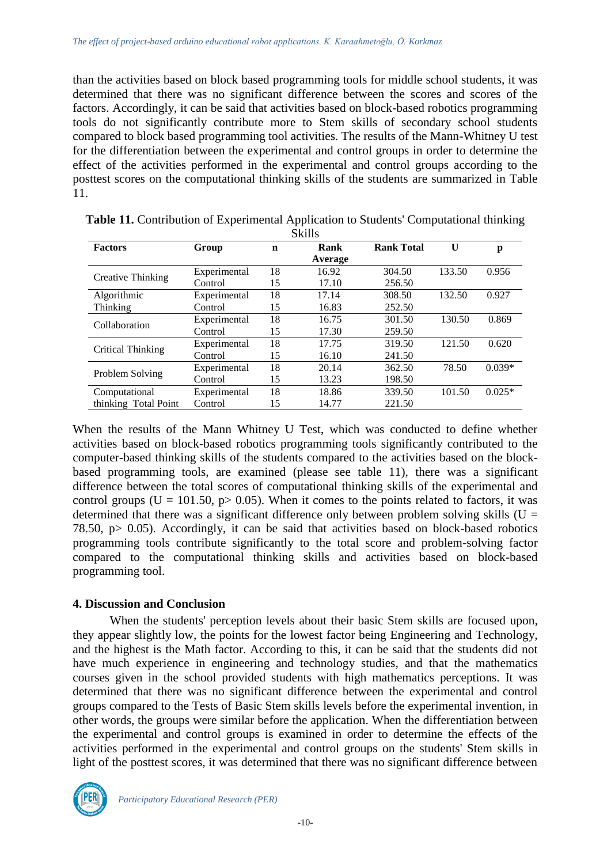than the activities based on block based programming tools for middle school students, it was determined that there was no significant difference between the scores and scores of the factors. Accordingly, it can be said that activities based on block-based robotics programming tools do not significantly contribute more to Stem skills of secondary school students compared to block based programming tool activities. The results of the Mann-Whitney U test for the differentiation between the experimental and control groups in order to determine the effect of the activities performed in the experimental and control groups according to the posttest scores on the computational thinking skills of the students are summarized in Table 11.

| OVIII?                   |              |             |         |                   |        |          |  |  |  |
|--------------------------|--------------|-------------|---------|-------------------|--------|----------|--|--|--|
| <b>Factors</b>           | Group        | $\mathbf n$ | Rank    | <b>Rank Total</b> | U      | p        |  |  |  |
|                          |              |             | Average |                   |        |          |  |  |  |
| <b>Creative Thinking</b> | Experimental | 18          | 16.92   | 304.50            | 133.50 | 0.956    |  |  |  |
|                          | Control      | 15          | 17.10   | 256.50            |        |          |  |  |  |
| Algorithmic              | Experimental | 18          | 17.14   | 308.50            | 132.50 | 0.927    |  |  |  |
| Thinking                 | Control      | 15          | 16.83   | 252.50            |        |          |  |  |  |
| Collaboration            | Experimental | 18          | 16.75   | 301.50            | 130.50 | 0.869    |  |  |  |
|                          | Control      | 15          | 17.30   | 259.50            |        |          |  |  |  |
| <b>Critical Thinking</b> | Experimental | 18          | 17.75   | 319.50            | 121.50 | 0.620    |  |  |  |
|                          | Control      | 15          | 16.10   | 241.50            |        |          |  |  |  |
| Problem Solving          | Experimental | 18          | 20.14   | 362.50            | 78.50  | $0.039*$ |  |  |  |
|                          | Control      | 15          | 13.23   | 198.50            |        |          |  |  |  |
| Computational            | Experimental | 18          | 18.86   | 339.50            | 101.50 | $0.025*$ |  |  |  |
| thinking Total Point     | Control      | 15          | 14.77   | 221.50            |        |          |  |  |  |

**Table 11.** Contribution of Experimental Application to Students' Computational thinking  $\tilde{\mathbf{Q}}$ ille

When the results of the Mann Whitney U Test, which was conducted to define whether activities based on block-based robotics programming tools significantly contributed to the computer-based thinking skills of the students compared to the activities based on the blockbased programming tools, are examined (please see table 11), there was a significant difference between the total scores of computational thinking skills of the experimental and control groups ( $U = 101.50$ ,  $p > 0.05$ ). When it comes to the points related to factors, it was determined that there was a significant difference only between problem solving skills ( $U =$ 78.50,  $p > 0.05$ ). Accordingly, it can be said that activities based on block-based robotics programming tools contribute significantly to the total score and problem-solving factor compared to the computational thinking skills and activities based on block-based programming tool.

### **4. Discussion and Conclusion**

When the students' perception levels about their basic Stem skills are focused upon, they appear slightly low, the points for the lowest factor being Engineering and Technology, and the highest is the Math factor. According to this, it can be said that the students did not have much experience in engineering and technology studies, and that the mathematics courses given in the school provided students with high mathematics perceptions. It was determined that there was no significant difference between the experimental and control groups compared to the Tests of Basic Stem skills levels before the experimental invention, in other words, the groups were similar before the application. When the differentiation between the experimental and control groups is examined in order to determine the effects of the activities performed in the experimental and control groups on the students' Stem skills in light of the posttest scores, it was determined that there was no significant difference between

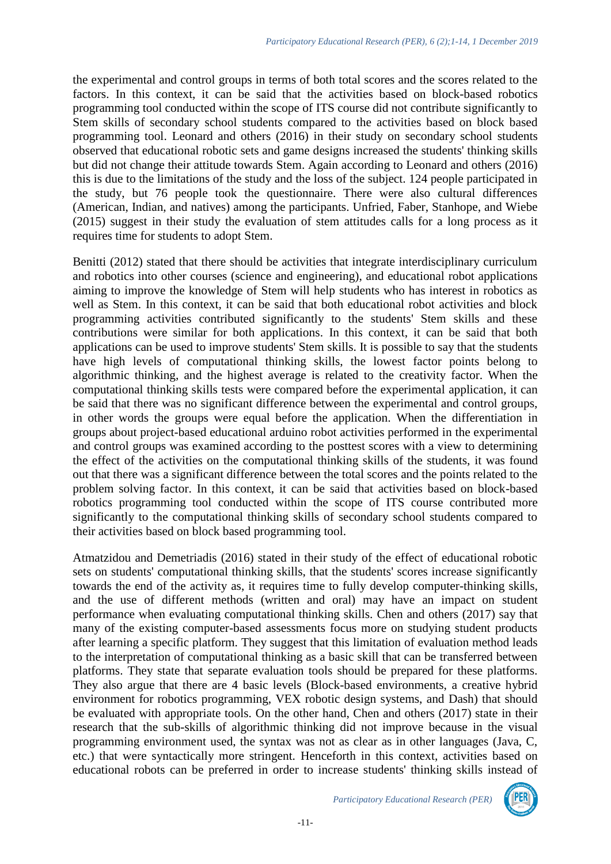the experimental and control groups in terms of both total scores and the scores related to the factors. In this context, it can be said that the activities based on block-based robotics programming tool conducted within the scope of ITS course did not contribute significantly to Stem skills of secondary school students compared to the activities based on block based programming tool. Leonard and others (2016) in their study on secondary school students observed that educational robotic sets and game designs increased the students' thinking skills but did not change their attitude towards Stem. Again according to Leonard and others (2016) this is due to the limitations of the study and the loss of the subject. 124 people participated in the study, but 76 people took the questionnaire. There were also cultural differences (American, Indian, and natives) among the participants. Unfried, Faber, Stanhope, and Wiebe (2015) suggest in their study the evaluation of stem attitudes calls for a long process as it requires time for students to adopt Stem.

Benitti (2012) stated that there should be activities that integrate interdisciplinary curriculum and robotics into other courses (science and engineering), and educational robot applications aiming to improve the knowledge of Stem will help students who has interest in robotics as well as Stem. In this context, it can be said that both educational robot activities and block programming activities contributed significantly to the students' Stem skills and these contributions were similar for both applications. In this context, it can be said that both applications can be used to improve students' Stem skills. It is possible to say that the students have high levels of computational thinking skills, the lowest factor points belong to algorithmic thinking, and the highest average is related to the creativity factor. When the computational thinking skills tests were compared before the experimental application, it can be said that there was no significant difference between the experimental and control groups, in other words the groups were equal before the application. When the differentiation in groups about project-based educational arduino robot activities performed in the experimental and control groups was examined according to the posttest scores with a view to determining the effect of the activities on the computational thinking skills of the students, it was found out that there was a significant difference between the total scores and the points related to the problem solving factor. In this context, it can be said that activities based on block-based robotics programming tool conducted within the scope of ITS course contributed more significantly to the computational thinking skills of secondary school students compared to their activities based on block based programming tool.

Atmatzidou and Demetriadis (2016) stated in their study of the effect of educational robotic sets on students' computational thinking skills, that the students' scores increase significantly towards the end of the activity as, it requires time to fully develop computer-thinking skills, and the use of different methods (written and oral) may have an impact on student performance when evaluating computational thinking skills. Chen and others (2017) say that many of the existing computer-based assessments focus more on studying student products after learning a specific platform. They suggest that this limitation of evaluation method leads to the interpretation of computational thinking as a basic skill that can be transferred between platforms. They state that separate evaluation tools should be prepared for these platforms. They also argue that there are 4 basic levels (Block-based environments, a creative hybrid environment for robotics programming, VEX robotic design systems, and Dash) that should be evaluated with appropriate tools. On the other hand, Chen and others (2017) state in their research that the sub-skills of algorithmic thinking did not improve because in the visual programming environment used, the syntax was not as clear as in other languages (Java, C, etc.) that were syntactically more stringent. Henceforth in this context, activities based on educational robots can be preferred in order to increase students' thinking skills instead of

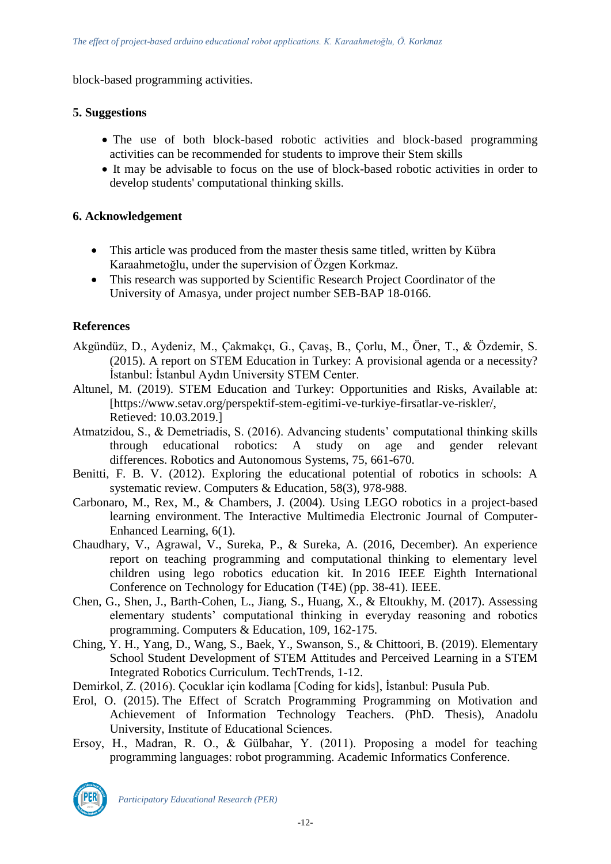block-based programming activities.

## **5. Suggestions**

- The use of both block-based robotic activities and block-based programming activities can be recommended for students to improve their Stem skills
- It may be advisable to focus on the use of block-based robotic activities in order to develop students' computational thinking skills.

## **6. Acknowledgement**

- This article was produced from the master thesis same titled, written by Kübra Karaahmetoğlu, under the supervision of Özgen Korkmaz.
- This research was supported by Scientific Research Project Coordinator of the University of Amasya, under project number SEB-BAP 18-0166.

## **References**

- Akgündüz, D., Aydeniz, M., Çakmakçı, G., Çavaş, B., Çorlu, M., Öner, T., & Özdemir, S. (2015). A report on STEM Education in Turkey: A provisional agenda or a necessity? İstanbul: İstanbul Aydın University STEM Center.
- Altunel, M. (2019). STEM Education and Turkey: Opportunities and Risks, Available at: [https://www.setav.org/perspektif-stem-egitimi-ve-turkiye-firsatlar-ve-riskler/, Retieved: 10.03.2019.]
- Atmatzidou, S., & Demetriadis, S. (2016). Advancing students' computational thinking skills through educational robotics: A study on age and gender relevant differences. Robotics and Autonomous Systems, 75, 661-670.
- Benitti, F. B. V. (2012). Exploring the educational potential of robotics in schools: A systematic review. Computers & Education, 58(3), 978-988.
- Carbonaro, M., Rex, M., & Chambers, J. (2004). Using LEGO robotics in a project-based learning environment. The Interactive Multimedia Electronic Journal of Computer-Enhanced Learning, 6(1).
- Chaudhary, V., Agrawal, V., Sureka, P., & Sureka, A. (2016, December). An experience report on teaching programming and computational thinking to elementary level children using lego robotics education kit. In 2016 IEEE Eighth International Conference on Technology for Education (T4E) (pp. 38-41). IEEE.
- Chen, G., Shen, J., Barth-Cohen, L., Jiang, S., Huang, X., & Eltoukhy, M. (2017). Assessing elementary students' computational thinking in everyday reasoning and robotics programming. Computers & Education, 109, 162-175.
- Ching, Y. H., Yang, D., Wang, S., Baek, Y., Swanson, S., & Chittoori, B. (2019). Elementary School Student Development of STEM Attitudes and Perceived Learning in a STEM Integrated Robotics Curriculum. TechTrends, 1-12.
- Demirkol, Z. (2016). Çocuklar için kodlama [Coding for kids], İstanbul: Pusula Pub.
- Erol, O. (2015). The Effect of Scratch Programming Programming on Motivation and Achievement of Information Technology Teachers. (PhD. Thesis), Anadolu University, Institute of Educational Sciences.
- Ersoy, H., Madran, R. O., & Gülbahar, Y. (2011). Proposing a model for teaching programming languages: robot programming. Academic Informatics Conference.

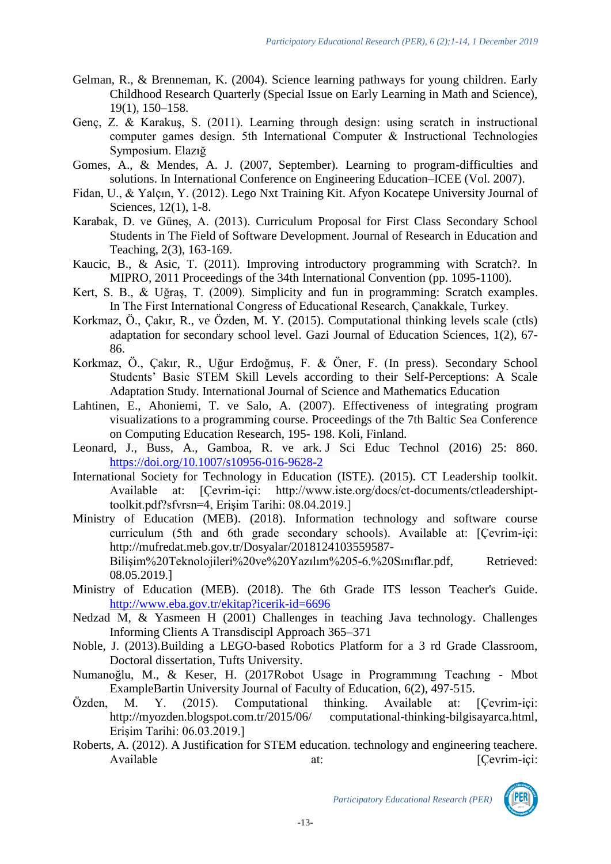- Gelman, R., & Brenneman, K. (2004). Science learning pathways for young children. Early Childhood Research Quarterly (Special Issue on Early Learning in Math and Science), 19(1), 150–158.
- Genç, Z. & Karakuş, S. (2011). Learning through design: using scratch in instructional computer games design. 5th International Computer & Instructional Technologies Symposium. Elazığ
- Gomes, A., & Mendes, A. J. (2007, September). Learning to program-difficulties and solutions. In International Conference on Engineering Education–ICEE (Vol. 2007).
- Fidan, U., & Yalçın, Y. (2012). Lego Nxt Training Kit. Afyon Kocatepe University Journal of Sciences, 12(1), 1-8.
- Karabak, D. ve Güneş, A. (2013). Curriculum Proposal for First Class Secondary School Students in The Field of Software Development. Journal of Research in Education and Teaching, 2(3), 163-169.
- Kaucic, B., & Asic, T. (2011). Improving introductory programming with Scratch?. In MIPRO, 2011 Proceedings of the 34th International Convention (pp. 1095-1100).
- Kert, S. B., & Uğraş, T. (2009). Simplicity and fun in programming: Scratch examples. In The First International Congress of Educational Research, Çanakkale, Turkey.
- Korkmaz, Ö., Çakır, R., ve Özden, M. Y. (2015). Computational thinking levels scale (ctls) adaptation for secondary school level. Gazi Journal of Education Sciences, 1(2), 67- 86.
- Korkmaz, Ö., Çakır, R., Uğur Erdoğmuş, F. & Öner, F. (In press). Secondary School Students' Basic STEM Skill Levels according to their Self-Perceptions: A Scale Adaptation Study. International Journal of Science and Mathematics Education
- Lahtinen, E., Ahoniemi, T. ve Salo, A. (2007). Effectiveness of integrating program visualizations to a programming course. Proceedings of the 7th Baltic Sea Conference on Computing Education Research, 195- 198. Koli, Finland.
- Leonard, J., Buss, A., Gamboa, R. ve ark. J Sci Educ Technol (2016) 25: 860. <https://doi.org/10.1007/s10956-016-9628-2>
- International Society for Technology in Education (ISTE). (2015). CT Leadership toolkit. Available at: [Çevrim-içi: http://www.iste.org/docs/ct-documents/ctleadershipttoolkit.pdf?sfvrsn=4, Erişim Tarihi: 08.04.2019.]
- Ministry of Education (MEB). (2018). Information technology and software course curriculum (5th and 6th grade secondary schools). Available at: [Çevrim-içi: http://mufredat.meb.gov.tr/Dosyalar/2018124103559587- Bilişim%20Teknolojileri%20ve%20Yazılım%205-6.%20Sınıflar.pdf, Retrieved: 08.05.2019.]
- Ministry of Education (MEB). (2018). The 6th Grade ITS lesson Teacher's Guide. <http://www.eba.gov.tr/ekitap?icerik-id=6696>
- Nedzad M, & Yasmeen H (2001) Challenges in teaching Java technology. Challenges Informing Clients A Transdiscipl Approach 365–371
- Noble, J. (2013).Building a LEGO-based Robotics Platform for a 3 rd Grade Classroom, Doctoral dissertation, Tufts University.
- Numanoğlu, M., & Keser, H. (2017Robot Usage in Programmıng Teachıng Mbot ExampleBartin University Journal of Faculty of Education, 6(2), 497-515.
- Özden, M. Y. (2015). Computational thinking. Available at: [Çevrim-içi: http://myozden.blogspot.com.tr/2015/06/ computational-thinking-bilgisayarca.html, Erişim Tarihi: 06.03.2019.]
- Roberts, A. (2012). A Justification for STEM education. technology and engineering teachere. Available at:  $[Cevrim-ic]:$